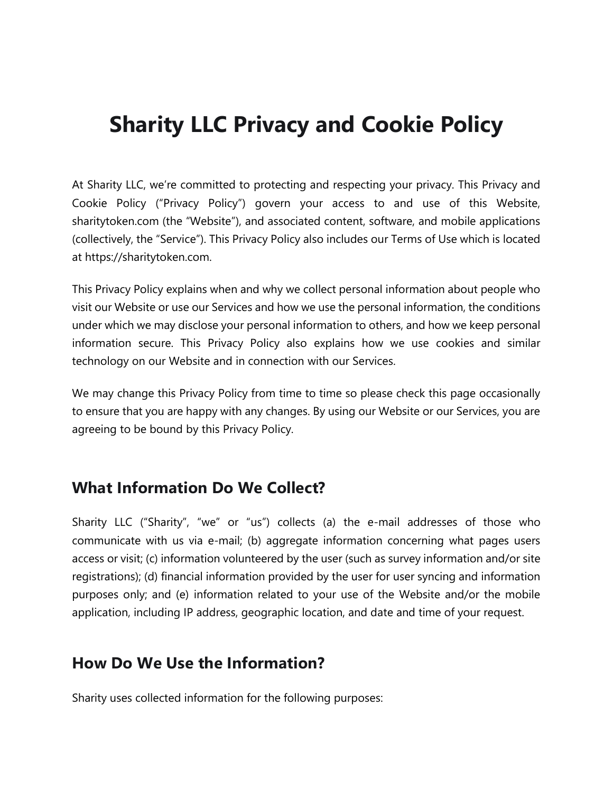# **Sharity LLC Privacy and Cookie Policy**

At Sharity LLC, we're committed to protecting and respecting your privacy. This Privacy and Cookie Policy ("Privacy Policy") govern your access to and use of this Website, sharitytoken.com (the "Website"), and associated content, software, and mobile applications (collectively, the "Service"). This Privacy Policy also includes our Terms of Use which is located at https://sharitytoken.com.

This Privacy Policy explains when and why we collect personal information about people who visit our Website or use our Services and how we use the personal information, the conditions under which we may disclose your personal information to others, and how we keep personal information secure. This Privacy Policy also explains how we use cookies and similar technology on our Website and in connection with our Services.

We may change this Privacy Policy from time to time so please check this page occasionally to ensure that you are happy with any changes. By using our Website or our Services, you are agreeing to be bound by this Privacy Policy.

#### **What Information Do We Collect?**

Sharity LLC ("Sharity", "we" or "us") collects (a) the e-mail addresses of those who communicate with us via e-mail; (b) aggregate information concerning what pages users access or visit; (c) information volunteered by the user (such as survey information and/or site registrations); (d) financial information provided by the user for user syncing and information purposes only; and (e) information related to your use of the Website and/or the mobile application, including IP address, geographic location, and date and time of your request.

#### **How Do We Use the Information?**

Sharity uses collected information for the following purposes: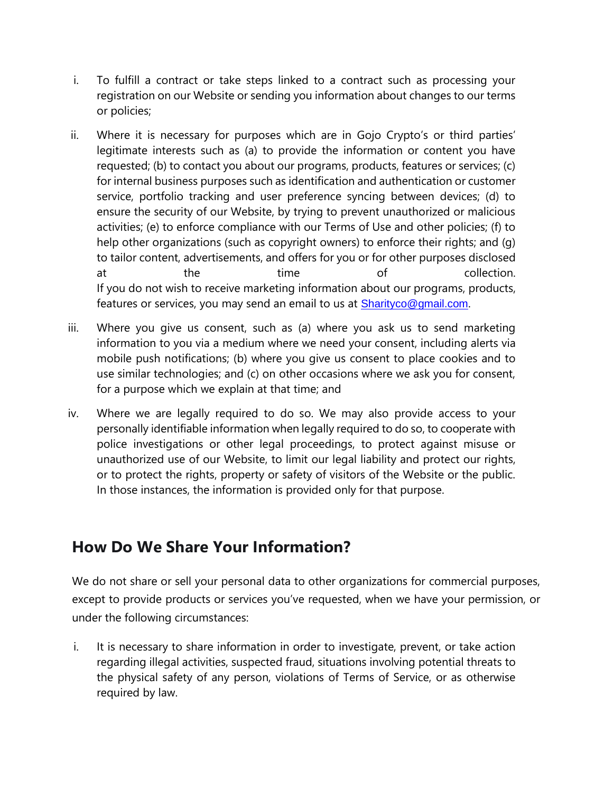- i. To fulfill a contract or take steps linked to a contract such as processing your registration on our Website or sending you information about changes to our terms or policies;
- ii. Where it is necessary for purposes which are in Gojo Crypto's or third parties' legitimate interests such as (a) to provide the information or content you have requested; (b) to contact you about our programs, products, features or services; (c) for internal business purposes such as identification and authentication or customer service, portfolio tracking and user preference syncing between devices; (d) to ensure the security of our Website, by trying to prevent unauthorized or malicious activities; (e) to enforce compliance with our Terms of Use and other policies; (f) to help other organizations (such as copyright owners) to enforce their rights; and (g) to tailor content, advertisements, and offers for you or for other purposes disclosed at the time of collection. If you do not wish to receive marketing information about our programs, products, features or services, you may send an email to us at **[Sharityco@gmail.com](mailto:Sharityco@gmail.com).**
- iii. Where you give us consent, such as (a) where you ask us to send marketing information to you via a medium where we need your consent, including alerts via mobile push notifications; (b) where you give us consent to place cookies and to use similar technologies; and (c) on other occasions where we ask you for consent, for a purpose which we explain at that time; and
- iv. Where we are legally required to do so. We may also provide access to your personally identifiable information when legally required to do so, to cooperate with police investigations or other legal proceedings, to protect against misuse or unauthorized use of our Website, to limit our legal liability and protect our rights, or to protect the rights, property or safety of visitors of the Website or the public. In those instances, the information is provided only for that purpose.

### **How Do We Share Your Information?**

We do not share or sell your personal data to other organizations for commercial purposes, except to provide products or services you've requested, when we have your permission, or under the following circumstances:

i. It is necessary to share information in order to investigate, prevent, or take action regarding illegal activities, suspected fraud, situations involving potential threats to the physical safety of any person, violations of Terms of Service, or as otherwise required by law.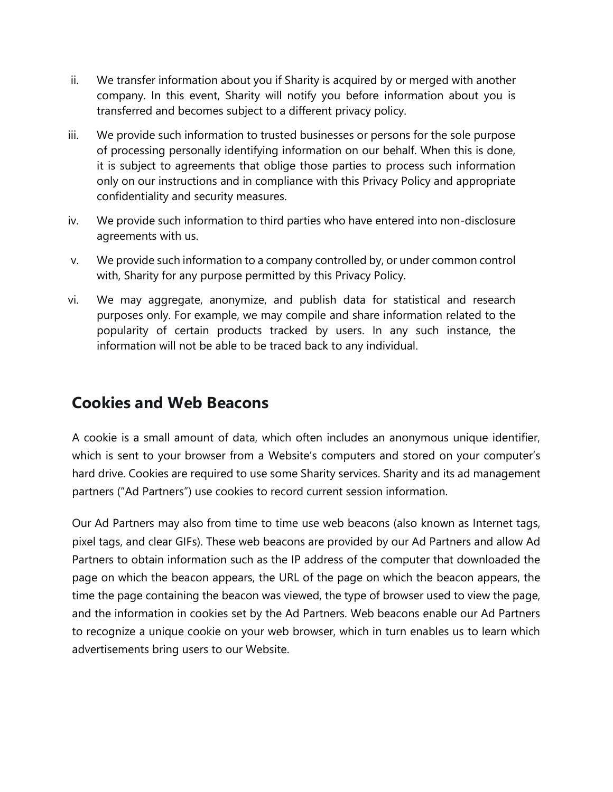- ii. We transfer information about you if Sharity is acquired by or merged with another company. In this event, Sharity will notify you before information about you is transferred and becomes subject to a different privacy policy.
- iii. We provide such information to trusted businesses or persons for the sole purpose of processing personally identifying information on our behalf. When this is done, it is subject to agreements that oblige those parties to process such information only on our instructions and in compliance with this Privacy Policy and appropriate confidentiality and security measures.
- iv. We provide such information to third parties who have entered into non-disclosure agreements with us.
- v. We provide such information to a company controlled by, or under common control with, Sharity for any purpose permitted by this Privacy Policy.
- vi. We may aggregate, anonymize, and publish data for statistical and research purposes only. For example, we may compile and share information related to the popularity of certain products tracked by users. In any such instance, the information will not be able to be traced back to any individual.

#### **Cookies and Web Beacons**

A cookie is a small amount of data, which often includes an anonymous unique identifier, which is sent to your browser from a Website's computers and stored on your computer's hard drive. Cookies are required to use some Sharity services. Sharity and its ad management partners ("Ad Partners") use cookies to record current session information.

Our Ad Partners may also from time to time use web beacons (also known as Internet tags, pixel tags, and clear GIFs). These web beacons are provided by our Ad Partners and allow Ad Partners to obtain information such as the IP address of the computer that downloaded the page on which the beacon appears, the URL of the page on which the beacon appears, the time the page containing the beacon was viewed, the type of browser used to view the page, and the information in cookies set by the Ad Partners. Web beacons enable our Ad Partners to recognize a unique cookie on your web browser, which in turn enables us to learn which advertisements bring users to our Website.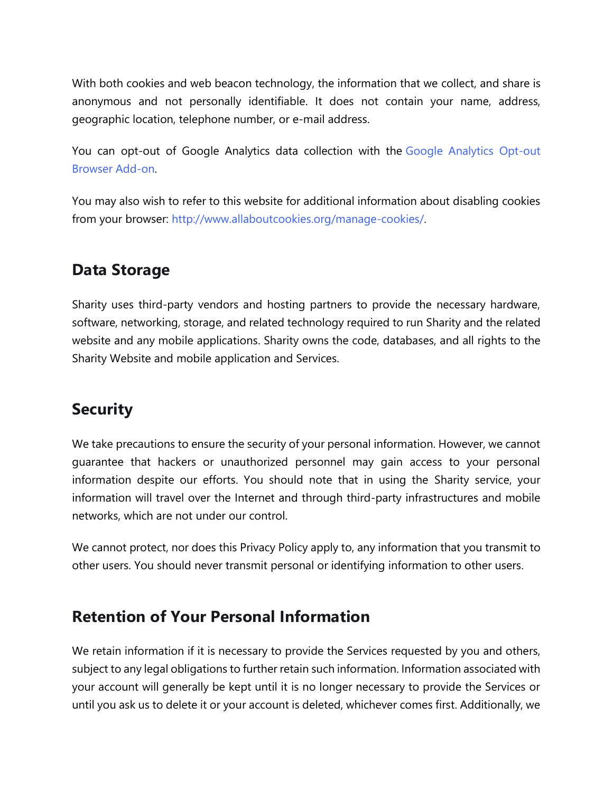With both cookies and web beacon technology, the information that we collect, and share is anonymous and not personally identifiable. It does not contain your name, address, geographic location, telephone number, or e-mail address.

You can opt-out of Google Analytics data collection with the [Google Analytics Opt-out](https://tools.google.com/dlpage/gaoptout/)  [Browser Add-on.](https://tools.google.com/dlpage/gaoptout/)

You may also wish to refer to this website for additional information about disabling cookies from your browser: [http://www.allaboutcookies.org/manage-cookies/.](http://www.allaboutcookies.org/manage-cookies/)

### **Data Storage**

Sharity uses third-party vendors and hosting partners to provide the necessary hardware, software, networking, storage, and related technology required to run Sharity and the related website and any mobile applications. Sharity owns the code, databases, and all rights to the Sharity Website and mobile application and Services.

#### **Security**

We take precautions to ensure the security of your personal information. However, we cannot guarantee that hackers or unauthorized personnel may gain access to your personal information despite our efforts. You should note that in using the Sharity service, your information will travel over the Internet and through third-party infrastructures and mobile networks, which are not under our control.

We cannot protect, nor does this Privacy Policy apply to, any information that you transmit to other users. You should never transmit personal or identifying information to other users.

### **Retention of Your Personal Information**

We retain information if it is necessary to provide the Services requested by you and others, subject to any legal obligations to further retain such information. Information associated with your account will generally be kept until it is no longer necessary to provide the Services or until you ask us to delete it or your account is deleted, whichever comes first. Additionally, we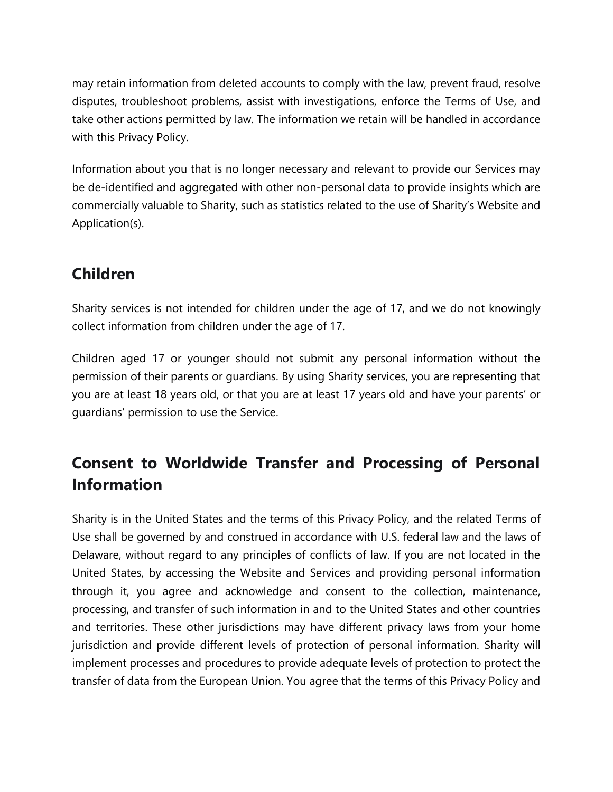may retain information from deleted accounts to comply with the law, prevent fraud, resolve disputes, troubleshoot problems, assist with investigations, enforce the Terms of Use, and take other actions permitted by law. The information we retain will be handled in accordance with this Privacy Policy.

Information about you that is no longer necessary and relevant to provide our Services may be de-identified and aggregated with other non-personal data to provide insights which are commercially valuable to Sharity, such as statistics related to the use of Sharity's Website and Application(s).

# **Children**

Sharity services is not intended for children under the age of 17, and we do not knowingly collect information from children under the age of 17.

Children aged 17 or younger should not submit any personal information without the permission of their parents or guardians. By using Sharity services, you are representing that you are at least 18 years old, or that you are at least 17 years old and have your parents' or guardians' permission to use the Service.

# **Consent to Worldwide Transfer and Processing of Personal Information**

Sharity is in the United States and the terms of this Privacy Policy, and the related Terms of Use shall be governed by and construed in accordance with U.S. federal law and the laws of Delaware, without regard to any principles of conflicts of law. If you are not located in the United States, by accessing the Website and Services and providing personal information through it, you agree and acknowledge and consent to the collection, maintenance, processing, and transfer of such information in and to the United States and other countries and territories. These other jurisdictions may have different privacy laws from your home jurisdiction and provide different levels of protection of personal information. Sharity will implement processes and procedures to provide adequate levels of protection to protect the transfer of data from the European Union. You agree that the terms of this Privacy Policy and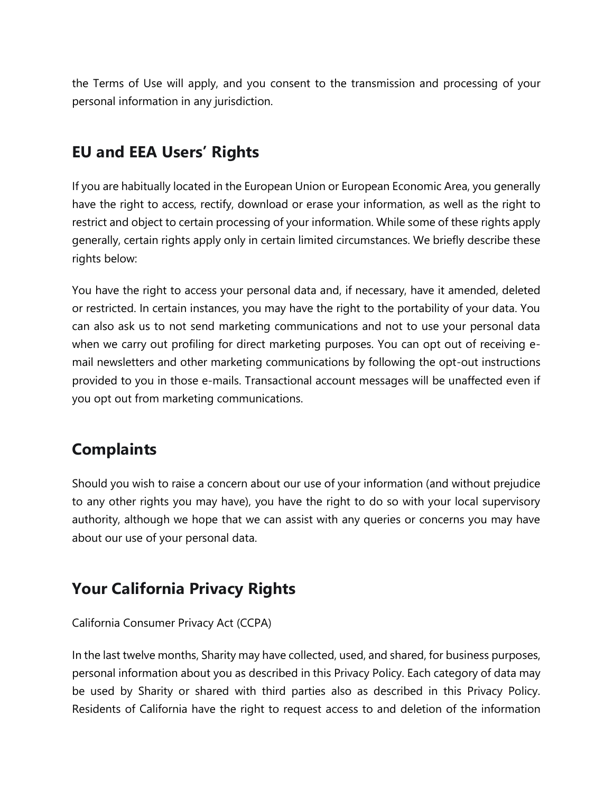the Terms of Use will apply, and you consent to the transmission and processing of your personal information in any jurisdiction.

# **EU and EEA Users' Rights**

If you are habitually located in the European Union or European Economic Area, you generally have the right to access, rectify, download or erase your information, as well as the right to restrict and object to certain processing of your information. While some of these rights apply generally, certain rights apply only in certain limited circumstances. We briefly describe these rights below:

You have the right to access your personal data and, if necessary, have it amended, deleted or restricted. In certain instances, you may have the right to the portability of your data. You can also ask us to not send marketing communications and not to use your personal data when we carry out profiling for direct marketing purposes. You can opt out of receiving email newsletters and other marketing communications by following the opt-out instructions provided to you in those e-mails. Transactional account messages will be unaffected even if you opt out from marketing communications.

# **Complaints**

Should you wish to raise a concern about our use of your information (and without prejudice to any other rights you may have), you have the right to do so with your local supervisory authority, although we hope that we can assist with any queries or concerns you may have about our use of your personal data.

# **Your California Privacy Rights**

#### California Consumer Privacy Act (CCPA)

In the last twelve months, Sharity may have collected, used, and shared, for business purposes, personal information about you as described in this Privacy Policy. Each category of data may be used by Sharity or shared with third parties also as described in this Privacy Policy. Residents of California have the right to request access to and deletion of the information